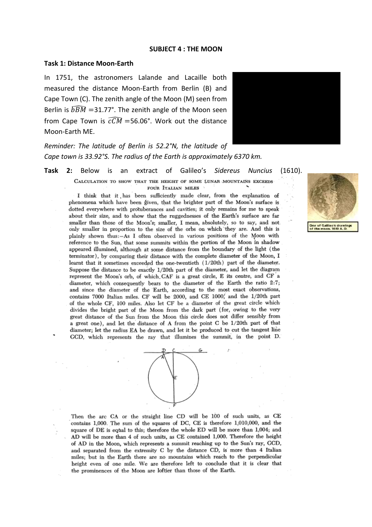#### **SUBJECT 4 : THE MOON**

#### **Task 1: Distance Moon-Earth**

In 1751, the astronomers Lalande and Lacaille both measured the distance Moon-Earth from Berlin (B) and Cape Town (C). The zenith angle of the Moon (M) seen from Berlin is  $\widehat{BBM}$  =31.77°. The zenith angle of the Moon seen from Cape Town is  $\widehat{cCM}$  =56.06°. Work out the distance Moon-Earth ME.



*Reminder: The latitude of Berlin is 52.2°N, the latitude of Cape town is 33.92°S. The radius of the Earth is approximately 6370 km.*

**Task 2:** Below is an extract of Galileo's *Sidereus Nuncius* (1610).

CALCULATION TO SHOW THAT THE HEIGHT OF SOME LUNAR MOUNTAINS EXCEEDS FOUR ITALIAN MILES

I think that it has been sufficiently made clear, from the explanation of phenomena which have been given, that the brighter part of the Moon's surface is dotted everywhere with protuberances and cavities; it only remains for me to speak about their size, and to show that the ruggednesses of the Earth's surface are far smaller than those of the Moon's; smaller, I mean, absolutely, so to say, and not. only smaller in proportion to the size of the orbs on which they are. And this is plainly shown thus:-As I often observed in various positions of the Moon with reference to the Sun, that some summits within the portion of the Moon in shadow appeared illumined, although at some distance from the boundary of the light (the terminator), by comparing their distance with the complete diameter of the Moon, I learnt that it sometimes exceeded the one-twentieth (1/20th) part of the diameter. Suppose the distance to be exactly 1/20th part of the diameter, and let the diagram represent the Moon's orb, of which CAF is a great circle, E its centre, and CF a diameter, which consequently bears to the diameter of the Earth the ratio 2:7; and since the diameter of the Earth, according to the most exact observations, contains 7000 Italian miles. CF will be 2000, and CE 1000, and the 1/20th part of the whole CF, 100 miles. Also let CF be a diameter of the great circle which divides the bright part of the Moon from the dark part (for, owing to the very great distance of the Sun from the Moon this circle does not differ sensibly from a great one), and let the distance of A from the point C be 1/20th part of that diameter; let the radius EA be drawn, and let it be produced to cut the tangent line GCD, which represents the ray that illumines the summit, in the point D.



Then the arc CA or the straight line CD will be 100 of such units, as CE contains 1,000. The sum of the squares of DC, CE is therefore 1,010,000, and the square of DE is equal to this; therefore the whole ED will be more than 1,004; and AD will be more than 4 of such units, as CE contained 1,000. Therefore the height of AD in the Moon, which represents a summit reaching up to the Sun's ray, GCD, and separated from the extremity C by the distance CD, is more than 4 Italian miles; but in the Earth there are no mountains which reach to the perpendicular height even of one mile. We are therefore left to conclude that it is clear that the prominences of the Moon are loftier than those of the Earth.

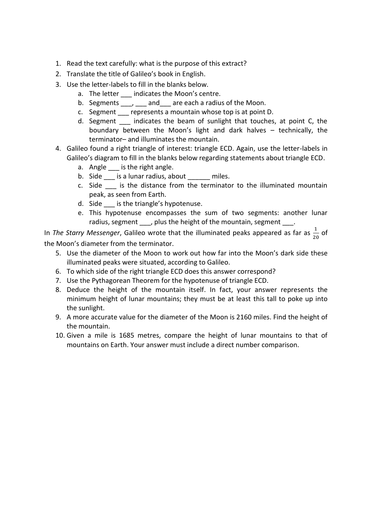- 1. Read the text carefully: what is the purpose of this extract?
- 2. Translate the title of Galileo's book in English.
- 3. Use the letter-labels to fill in the blanks below.
	- a. The letter \_\_\_ indicates the Moon's centre.
	- b. Segments , and are each a radius of the Moon.
	- c. Segment \_\_\_ represents a mountain whose top is at point D.
	- d. Segment \_\_\_ indicates the beam of sunlight that touches, at point C, the boundary between the Moon's light and dark halves – technically, the terminator– and illuminates the mountain.
- 4. Galileo found a right triangle of interest: triangle ECD. Again, use the letter-labels in Galileo's diagram to fill in the blanks below regarding statements about triangle ECD.
	- a. Angle \_\_\_ is the right angle.
	- b. Side is a lunar radius, about miles.
	- c. Side is the distance from the terminator to the illuminated mountain peak, as seen from Earth.
	- d. Side is the triangle's hypotenuse.
	- e. This hypotenuse encompasses the sum of two segments: another lunar radius, segment , plus the height of the mountain, segment

In *The Starry Messenger*, Galileo wrote that the illuminated peaks appeared as far as  $\frac{1}{20}$  of the Moon's diameter from the terminator.

- 5. Use the diameter of the Moon to work out how far into the Moon's dark side these illuminated peaks were situated, according to Galileo.
- 6. To which side of the right triangle ECD does this answer correspond?
- 7. Use the Pythagorean Theorem for the hypotenuse of triangle ECD.
- 8. Deduce the height of the mountain itself. In fact, your answer represents the minimum height of lunar mountains; they must be at least this tall to poke up into the sunlight.
- 9. A more accurate value for the diameter of the Moon is 2160 miles. Find the height of the mountain.
- 10. Given a mile is 1685 metres, compare the height of lunar mountains to that of mountains on Earth. Your answer must include a direct number comparison.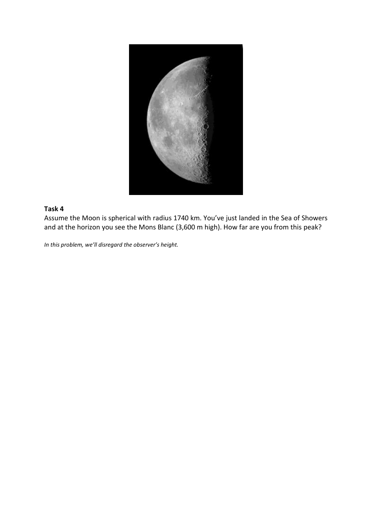

## **Task 4**

Assume the Moon is spherical with radius 1740 km. You've just landed in the Sea of Showers and at the horizon you see the Mons Blanc (3,600 m high). How far are you from this peak?

*In this problem, we'll disregard the observer's height.*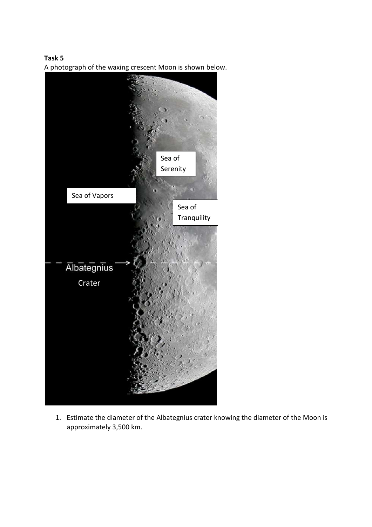**Task 5** A photograph of the waxing crescent Moon is shown below.



1. Estimate the diameter of the Albategnius crater knowing the diameter of the Moon is approximately 3,500 km.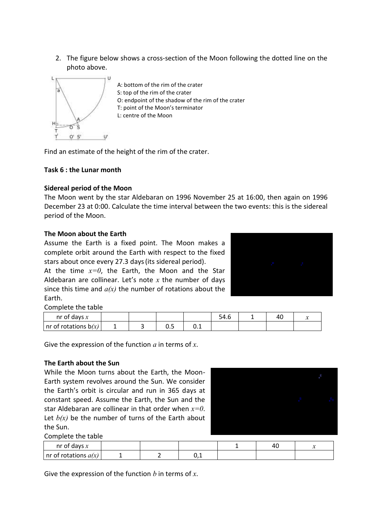2. The figure below shows a cross-section of the Moon following the dotted line on the photo above.



A: bottom of the rim of the crater S: top of the rim of the crater O: endpoint of the shadow of the rim of the crater T: point of the Moon's terminator L: centre of the Moon

Find an estimate of the height of the rim of the crater.

## **Task 6 : the Lunar month**

### **Sidereal period of the Moon**

The Moon went by the star Aldebaran on 1996 November 25 at 16:00, then again on 1996 December 23 at 0:00. Calculate the time interval between the two events: this is the sidereal period of the Moon.

### **The Moon about the Earth**

Assume the Earth is a fixed point. The Moon makes a complete orbit around the Earth with respect to the fixed stars about once every 27.3 days(its sidereal period).

At the time  $x=0$ , the Earth, the Moon and the Star Aldebaran are collinear. Let's note *x* the number of days since this time and *a(x)* the number of rotations about the Earth.



Complete the table

| nr of days $x$          |  |            |      | .54.0 | 4U |  |
|-------------------------|--|------------|------|-------|----|--|
| Inr of rotations $b(x)$ |  | - -<br>◡.◡ | ັບ.⊥ |       |    |  |

Give the expression of the function *a* in terms of *x*.

#### **The Earth about the Sun**

While the Moon turns about the Earth, the Moon-Earth system revolves around the Sun. We consider the Earth's orbit is circular and run in 365 days at constant speed. Assume the Earth, the Sun and the star Aldebaran are collinear in that order when *x=0*. Let  $b(x)$  be the number of turns of the Earth about the Sun.



Complete the table

| nr of days $x$          |  |     | -4u | - - |
|-------------------------|--|-----|-----|-----|
| Inr of rotations $a(x)$ |  | ◡.⊥ |     |     |

Give the expression of the function *b* in terms of *x*.